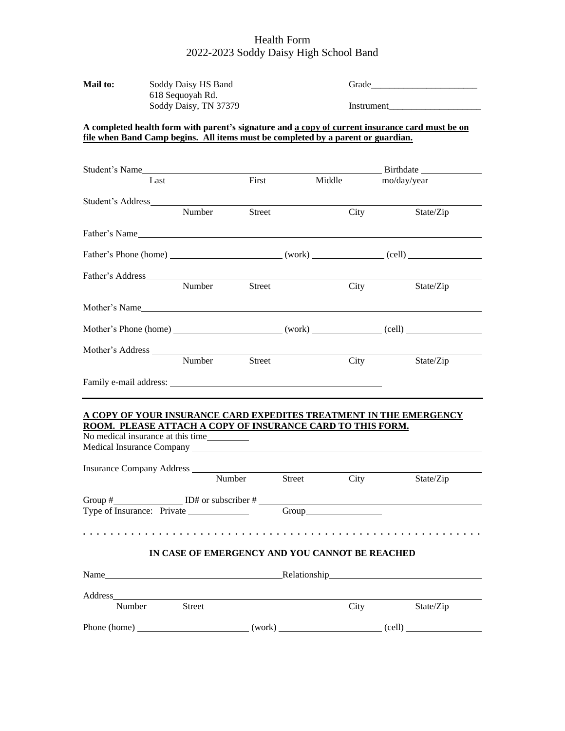### Health Form 2022-2023 Soddy Daisy High School Band

| <b>Mail to:</b> | Soddy Daisy HS Band   | Grade      |
|-----------------|-----------------------|------------|
|                 | 618 Sequoyah Rd.      |            |
|                 | Soddy Daisy, TN 37379 | Instrument |

#### **A completed health form with parent's signature and a copy of current insurance card must be on file when Band Camp begins. All items must be completed by a parent or guardian.**

| Student's Name                                                     |               |               |                                                            |             |
|--------------------------------------------------------------------|---------------|---------------|------------------------------------------------------------|-------------|
| Last                                                               |               | First         | Middle                                                     | mo/day/year |
| Student's Address                                                  |               |               |                                                            |             |
|                                                                    | Number        | <b>Street</b> | City                                                       | State/Zip   |
| Father's Name                                                      |               |               |                                                            |             |
|                                                                    |               |               |                                                            |             |
| Father's Address                                                   |               |               |                                                            |             |
|                                                                    | Number Street |               | City                                                       | State/Zip   |
| Mother's Name                                                      |               |               |                                                            |             |
|                                                                    |               |               |                                                            |             |
| Mother's Address                                                   |               |               |                                                            |             |
|                                                                    | Number        | Street        | City                                                       | State/Zip   |
|                                                                    |               |               |                                                            |             |
| A COPY OF YOUR INSURANCE CARD EXPEDITES TREATMENT IN THE EMERGENCY |               |               | ROOM. PLEASE ATTACH A COPY OF INSURANCE CARD TO THIS FORM. |             |
| No medical insurance at this time____________                      |               |               |                                                            |             |
|                                                                    |               |               |                                                            |             |
|                                                                    |               | Number        | Street<br><b>City</b>                                      | State/Zip   |
| Group $\#$ D# or subscriber $\#$ D=                                |               |               |                                                            |             |

#### **IN CASE OF EMERGENCY AND YOU CANNOT BE REACHED**

| Name         |               |        | Relationship Relationship |           |  |  |
|--------------|---------------|--------|---------------------------|-----------|--|--|
| Address      |               |        |                           |           |  |  |
| Number       | <b>Street</b> |        | City                      | State/Zip |  |  |
| Phone (home) |               | (work) |                           | (cell)    |  |  |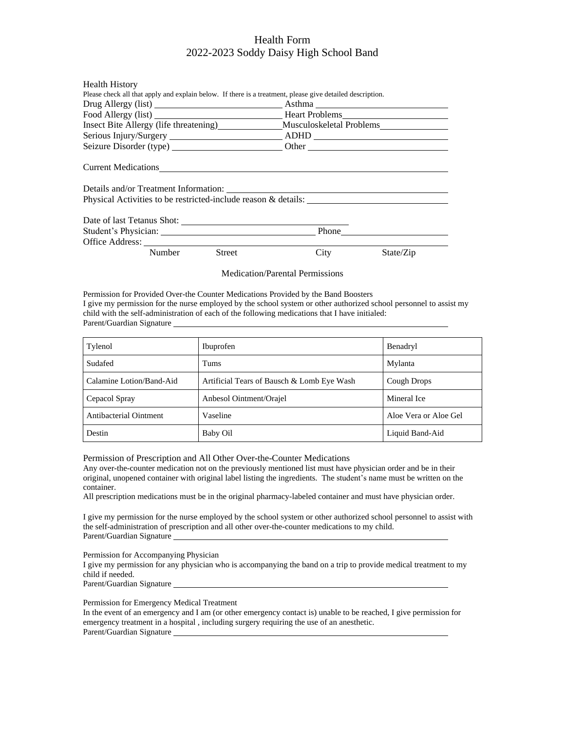#### Health Form 2022-2023 Soddy Daisy High School Band

| <b>Health History</b>                                                                                     |        |           |
|-----------------------------------------------------------------------------------------------------------|--------|-----------|
| Please check all that apply and explain below. If there is a treatment, please give detailed description. |        |           |
|                                                                                                           | Asthma |           |
| Food Allergy (list) Read Allergy (list) Read Allergy (list)                                               |        |           |
| Insect Bite Allergy (life threatening) Musculoskeletal Problems                                           |        |           |
|                                                                                                           |        |           |
|                                                                                                           |        |           |
| Current Medications<br>Physical Activities to be restricted-include reason & details:                     |        |           |
|                                                                                                           |        |           |
|                                                                                                           |        |           |
|                                                                                                           |        |           |
| Number<br>Street                                                                                          | City   | State/Zip |

Medication/Parental Permissions

Permission for Provided Over-the Counter Medications Provided by the Band Boosters I give my permission for the nurse employed by the school system or other authorized school personnel to assist my child with the self-administration of each of the following medications that I have initialed: Parent/Guardian Signature

| Tylenol                  | Ibuprofen                                  | Benadryl              |
|--------------------------|--------------------------------------------|-----------------------|
| Sudafed                  | Tums                                       | Mylanta               |
| Calamine Lotion/Band-Aid | Artificial Tears of Bausch & Lomb Eye Wash | Cough Drops           |
| Cepacol Spray            | Anbesol Ointment/Orajel                    | Mineral Ice           |
| Antibacterial Ointment   | Vaseline                                   | Aloe Vera or Aloe Gel |
| Destin                   | Baby Oil                                   | Liquid Band-Aid       |

Permission of Prescription and All Other Over-the-Counter Medications

Any over-the-counter medication not on the previously mentioned list must have physician order and be in their original, unopened container with original label listing the ingredients. The student's name must be written on the container.

All prescription medications must be in the original pharmacy-labeled container and must have physician order.

I give my permission for the nurse employed by the school system or other authorized school personnel to assist with the self-administration of prescription and all other over-the-counter medications to my child. Parent/Guardian Signature

Permission for Accompanying Physician

I give my permission for any physician who is accompanying the band on a trip to provide medical treatment to my child if needed.

Parent/Guardian Signature

Permission for Emergency Medical Treatment

In the event of an emergency and I am (or other emergency contact is) unable to be reached, I give permission for emergency treatment in a hospital , including surgery requiring the use of an anesthetic. Parent/Guardian Signature